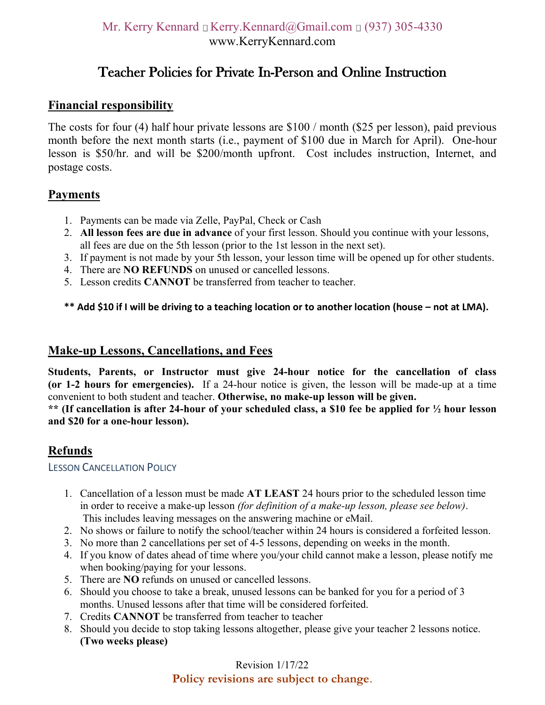# Teacher Policies for Private In-Person and Online Instruction

# **Financial responsibility**

The costs for four (4) half hour private lessons are \$100 / month (\$25 per lesson), paid previous month before the next month starts (i.e., payment of \$100 due in March for April). One-hour lesson is \$50/hr. and will be \$200/month upfront. Cost includes instruction, Internet, and postage costs.

# **Payments**

- 1. Payments can be made via Zelle, PayPal, Check or Cash
- 2. **All lesson fees are due in advance** of your first lesson. Should you continue with your lessons, all fees are due on the 5th lesson (prior to the 1st lesson in the next set).
- 3. If payment is not made by your 5th lesson, your lesson time will be opened up for other students.
- 4. There are **NO REFUNDS** on unused or cancelled lessons.
- 5. Lesson credits **CANNOT** be transferred from teacher to teacher.

#### **\*\* Add \$10 if I will be driving to a teaching location or to another location (house – not at LMA).**

## **Make-up Lessons, Cancellations, and Fees**

**Students, Parents, or Instructor must give 24-hour notice for the cancellation of class (or 1-2 hours for emergencies).** If a 24-hour notice is given, the lesson will be made-up at a time convenient to both student and teacher. **Otherwise, no make-up lesson will be given.** 

**\*\* (If cancellation is after 24-hour of your scheduled class, a \$10 fee be applied for ½ hour lesson and \$20 for a one-hour lesson).**

## **Refunds**

#### LESSON CANCELLATION POLICY

- 1. Cancellation of a lesson must be made **AT LEAST** 24 hours prior to the scheduled lesson time in order to receive a make-up lesson *(for definition of a make-up lesson, please see below)*. This includes leaving messages on the answering machine or eMail.
- 2. No shows or failure to notify the school/teacher within 24 hours is considered a forfeited lesson.
- 3. No more than 2 cancellations per set of 4-5 lessons, depending on weeks in the month.
- 4. If you know of dates ahead of time where you/your child cannot make a lesson, please notify me when booking/paying for your lessons.
- 5. There are **NO** refunds on unused or cancelled lessons.
- 6. Should you choose to take a break, unused lessons can be banked for you for a period of 3 months. Unused lessons after that time will be considered forfeited.
- 7. Credits **CANNOT** be transferred from teacher to teacher
- 8. Should you decide to stop taking lessons altogether, please give your teacher 2 lessons notice. **(Two weeks please)**

#### Revision 1/17/22 **Policy revisions are subject to change**.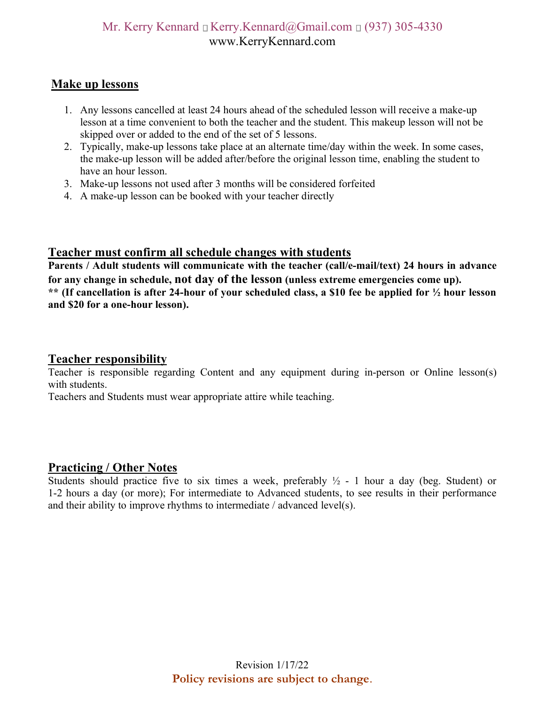# Mr. Kerry Kennard  $\Box$  Kerry.Kennard@Gmail.com  $\Box$  (937) 305-4330 www.KerryKennard.com

### **Make up lessons**

- 1. Any lessons cancelled at least 24 hours ahead of the scheduled lesson will receive a make-up lesson at a time convenient to both the teacher and the student. This makeup lesson will not be skipped over or added to the end of the set of 5 lessons.
- 2. Typically, make-up lessons take place at an alternate time/day within the week. In some cases, the make-up lesson will be added after/before the original lesson time, enabling the student to have an hour lesson.
- 3. Make-up lessons not used after 3 months will be considered forfeited
- 4. A make-up lesson can be booked with your teacher directly

### **Teacher must confirm all schedule changes with students**

**Parents / Adult students will communicate with the teacher (call/e-mail/text) 24 hours in advance for any change in schedule, not day of the lesson (unless extreme emergencies come up). \*\* (If cancellation is after 24-hour of your scheduled class, a \$10 fee be applied for ½ hour lesson and \$20 for a one-hour lesson).**

### **Teacher responsibility**

Teacher is responsible regarding Content and any equipment during in-person or Online lesson(s) with students.

Teachers and Students must wear appropriate attire while teaching.

## **Practicing / Other Notes**

Students should practice five to six times a week, preferably  $\frac{1}{2}$  - 1 hour a day (beg. Student) or 1-2 hours a day (or more); For intermediate to Advanced students, to see results in their performance and their ability to improve rhythms to intermediate / advanced level(s).